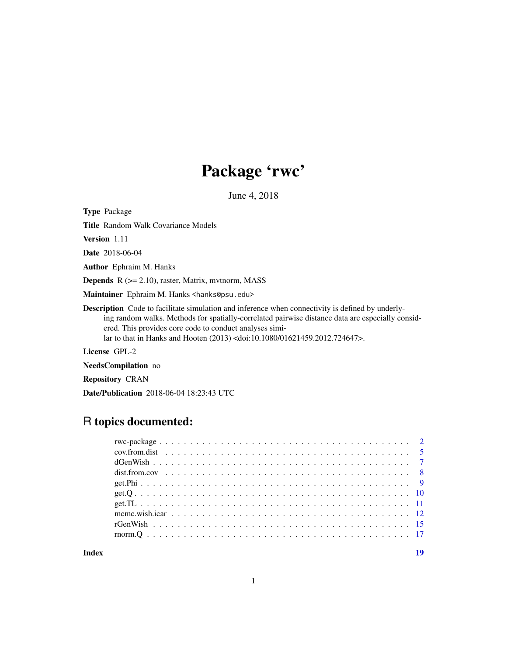# Package 'rwc'

June 4, 2018

Type Package

Title Random Walk Covariance Models

Version 1.11

Date 2018-06-04

Author Ephraim M. Hanks

**Depends**  $R$  ( $>= 2.10$ ), raster, Matrix, mythorm, MASS

Maintainer Ephraim M. Hanks <hanks@psu.edu>

Description Code to facilitate simulation and inference when connectivity is defined by underlying random walks. Methods for spatially-correlated pairwise distance data are especially considered. This provides core code to conduct analyses similar to that in Hanks and Hooten (2013) <doi:10.1080/01621459.2012.724647>.

License GPL-2

NeedsCompilation no

Repository CRAN

Date/Publication 2018-06-04 18:23:43 UTC

# R topics documented:

| mcmc.wish.icar $\ldots$ , $\ldots$ , $\ldots$ , $\ldots$ , $\ldots$ , $\ldots$ , $\ldots$ , $\ldots$ , $\ldots$ , $\ldots$ , $\ldots$ , $\ldots$ |  |  |  |  |  |  |  |  |  |  |  |  |  |  |  |  |  |  |  |  |
|--------------------------------------------------------------------------------------------------------------------------------------------------|--|--|--|--|--|--|--|--|--|--|--|--|--|--|--|--|--|--|--|--|
|                                                                                                                                                  |  |  |  |  |  |  |  |  |  |  |  |  |  |  |  |  |  |  |  |  |
|                                                                                                                                                  |  |  |  |  |  |  |  |  |  |  |  |  |  |  |  |  |  |  |  |  |
|                                                                                                                                                  |  |  |  |  |  |  |  |  |  |  |  |  |  |  |  |  |  |  |  |  |

#### **Index** 2008 **[19](#page-18-0)99**

1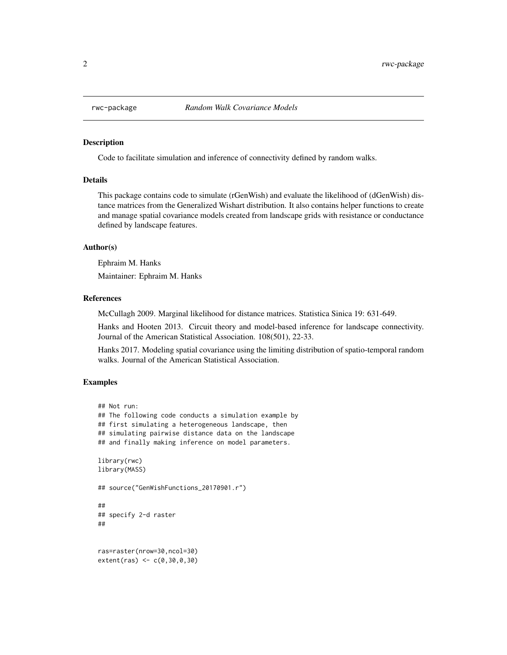<span id="page-1-0"></span>

Code to facilitate simulation and inference of connectivity defined by random walks.

# Details

This package contains code to simulate (rGenWish) and evaluate the likelihood of (dGenWish) distance matrices from the Generalized Wishart distribution. It also contains helper functions to create and manage spatial covariance models created from landscape grids with resistance or conductance defined by landscape features.

#### Author(s)

Ephraim M. Hanks

Maintainer: Ephraim M. Hanks

# References

McCullagh 2009. Marginal likelihood for distance matrices. Statistica Sinica 19: 631-649.

Hanks and Hooten 2013. Circuit theory and model-based inference for landscape connectivity. Journal of the American Statistical Association. 108(501), 22-33.

Hanks 2017. Modeling spatial covariance using the limiting distribution of spatio-temporal random walks. Journal of the American Statistical Association.

# Examples

```
## Not run:
## The following code conducts a simulation example by
## first simulating a heterogeneous landscape, then
## simulating pairwise distance data on the landscape
## and finally making inference on model parameters.
library(rwc)
library(MASS)
## source("GenWishFunctions_20170901.r")
##
## specify 2-d raster
##
ras=raster(nrow=30,ncol=30)
extent(ras) <- c(0,30,0,30)
```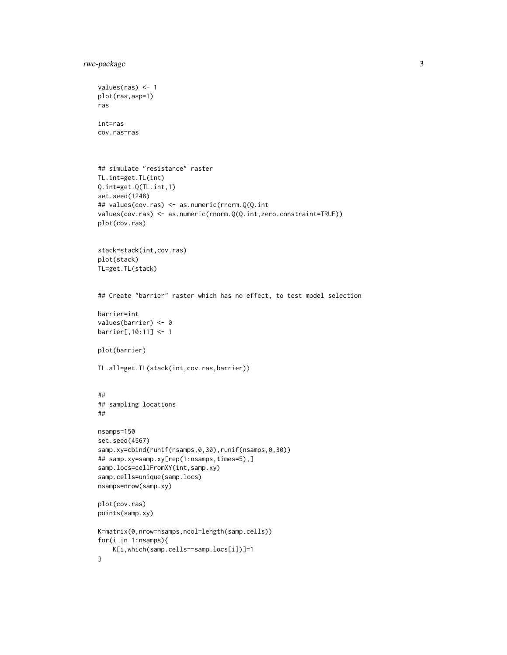```
rwc-package 3
```

```
values(ras) < -1plot(ras,asp=1)
ras
int=ras
cov.ras=ras
## simulate "resistance" raster
TL.int=get.TL(int)
Q.int=get.Q(TL.int,1)
set.seed(1248)
## values(cov.ras) <- as.numeric(rnorm.Q(Q.int
values(cov.ras) <- as.numeric(rnorm.Q(Q.int,zero.constraint=TRUE))
plot(cov.ras)
stack=stack(int,cov.ras)
plot(stack)
TL=get.TL(stack)
## Create "barrier" raster which has no effect, to test model selection
barrier=int
values(barrier) <- 0
barrier[,10:11] <- 1
plot(barrier)
TL.all=get.TL(stack(int,cov.ras,barrier))
##
## sampling locations
##
nsamps=150
set.seed(4567)
samp.xy=cbind(runif(nsamps,0,30),runif(nsamps,0,30))
## samp.xy=samp.xy[rep(1:nsamps,times=5),]
samp.locs=cellFromXY(int,samp.xy)
samp.cells=unique(samp.locs)
nsamps=nrow(samp.xy)
plot(cov.ras)
points(samp.xy)
K=matrix(0,nrow=nsamps,ncol=length(samp.cells))
for(i in 1:nsamps){
   K[i,which(samp.cells==samp.locs[i])]=1
}
```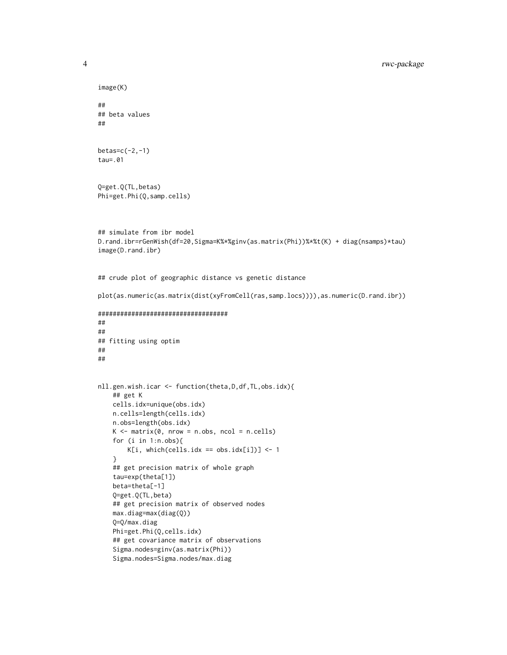```
image(K)
##
## beta values
##
betas=c(-2,-1)
tau=.01
Q=get.Q(TL,betas)
Phi=get.Phi(Q,samp.cells)
## simulate from ibr model
D.rand.ibr=rGenWish(df=20,Sigma=K%*%ginv(as.matrix(Phi))%*%t(K) + diag(nsamps)*tau)
image(D.rand.ibr)
## crude plot of geographic distance vs genetic distance
plot(as.numeric(as.matrix(dist(xyFromCell(ras,samp.locs)))),as.numeric(D.rand.ibr))
###################################
##
##
## fitting using optim
##
##
nll.gen.wish.icar <- function(theta,D,df,TL,obs.idx){
   ## get K
   cells.idx=unique(obs.idx)
   n.cells=length(cells.idx)
   n.obs=length(obs.idx)
   K \le - matrix(0, nrow = n.obs, ncol = n.cells)
    for (i in 1:n.obs){
       K[i, which (cells.idx == obs.idx[i])] <- 1
    }
   ## get precision matrix of whole graph
    tau=exp(theta[1])
   beta=theta[-1]
   Q=get.Q(TL,beta)
    ## get precision matrix of observed nodes
   max.diag=max(diag(Q))
    Q=Q/max.diag
   Phi=get.Phi(Q,cells.idx)
    ## get covariance matrix of observations
    Sigma.nodes=ginv(as.matrix(Phi))
    Sigma.nodes=Sigma.nodes/max.diag
```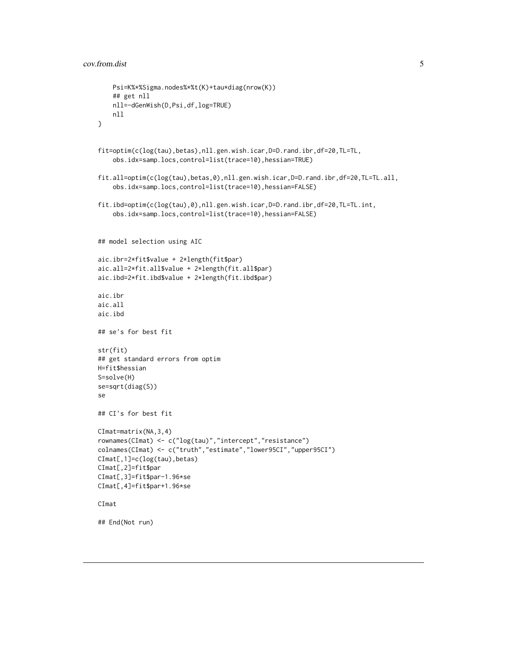```
Psi=K%*%Sigma.nodes%*%t(K)+tau*diag(nrow(K))
    ## get nll
    nll=-dGenWish(D,Psi,df,log=TRUE)
   nll
}
fit=optim(c(log(tau),betas),nll.gen.wish.icar,D=D.rand.ibr,df=20,TL=TL,
    obs.idx=samp.locs,control=list(trace=10),hessian=TRUE)
fit.all=optim(c(log(tau),betas,0),nll.gen.wish.icar,D=D.rand.ibr,df=20,TL=TL.all,
    obs.idx=samp.locs,control=list(trace=10),hessian=FALSE)
fit.ibd=optim(c(log(tau),0),nll.gen.wish.icar,D=D.rand.ibr,df=20,TL=TL.int,
    obs.idx=samp.locs,control=list(trace=10),hessian=FALSE)
## model selection using AIC
aic.ibr=2*fit$value + 2*length(fit$par)
aic.all=2*fit.all$value + 2*length(fit.all$par)
aic.ibd=2*fit.ibd$value + 2*length(fit.ibd$par)
aic.ibr
aic.all
aic.ibd
## se's for best fit
str(fit)
## get standard errors from optim
H=fit$hessian
S=solve(H)
se=sqrt(diag(S))
se
## CI's for best fit
CImat=matrix(NA,3,4)
rownames(CImat) <- c("log(tau)","intercept","resistance")
colnames(CImat) <- c("truth","estimate","lower95CI","upper95CI")
CImat[,1]=c(log(tau),betas)
CImat[,2]=fit$par
CImat[,3]=fit$par-1.96*se
CImat[,4]=fit$par+1.96*se
CImat
## End(Not run)
```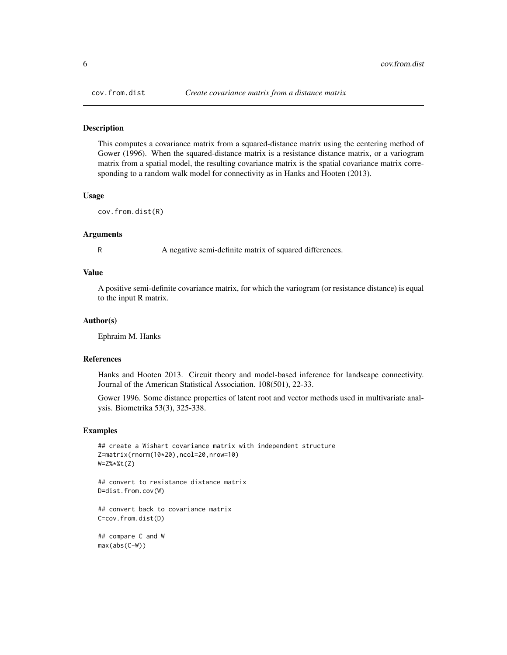<span id="page-5-0"></span>This computes a covariance matrix from a squared-distance matrix using the centering method of Gower (1996). When the squared-distance matrix is a resistance distance matrix, or a variogram matrix from a spatial model, the resulting covariance matrix is the spatial covariance matrix corresponding to a random walk model for connectivity as in Hanks and Hooten (2013).

### Usage

cov.from.dist(R)

#### Arguments

R A negative semi-definite matrix of squared differences.

#### Value

A positive semi-definite covariance matrix, for which the variogram (or resistance distance) is equal to the input R matrix.

#### Author(s)

Ephraim M. Hanks

# References

Hanks and Hooten 2013. Circuit theory and model-based inference for landscape connectivity. Journal of the American Statistical Association. 108(501), 22-33.

Gower 1996. Some distance properties of latent root and vector methods used in multivariate analysis. Biometrika 53(3), 325-338.

#### Examples

```
## create a Wishart covariance matrix with independent structure
Z=matrix(rnorm(10*20),ncol=20,nrow=10)
W=Z%*%t(Z)
```
## convert to resistance distance matrix D=dist.from.cov(W)

## convert back to covariance matrix C=cov.from.dist(D)

```
## compare C and W
max(abs(C-W))
```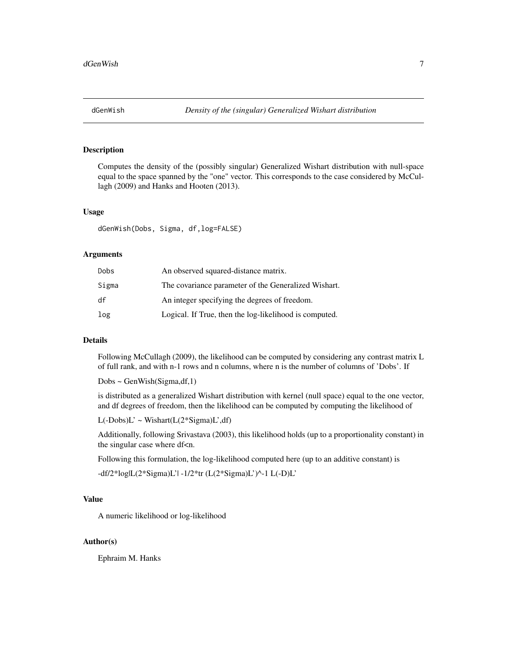<span id="page-6-0"></span>Computes the density of the (possibly singular) Generalized Wishart distribution with null-space equal to the space spanned by the "one" vector. This corresponds to the case considered by McCullagh (2009) and Hanks and Hooten (2013).

# Usage

dGenWish(Dobs, Sigma, df,log=FALSE)

# Arguments

| Dobs  | An observed squared-distance matrix.                   |
|-------|--------------------------------------------------------|
| Sigma | The covariance parameter of the Generalized Wishart.   |
| df    | An integer specifying the degrees of freedom.          |
| log   | Logical. If True, then the log-likelihood is computed. |

# Details

Following McCullagh (2009), the likelihood can be computed by considering any contrast matrix L of full rank, and with n-1 rows and n columns, where n is the number of columns of 'Dobs'. If

Dobs ~ GenWish(Sigma,df,1)

is distributed as a generalized Wishart distribution with kernel (null space) equal to the one vector, and df degrees of freedom, then the likelihood can be computed by computing the likelihood of

 $L(-Dobs)L' \sim \text{Wishart}(L(2*Sigma)L', df)$ 

Additionally, following Srivastava (2003), this likelihood holds (up to a proportionality constant) in the singular case where df<n.

Following this formulation, the log-likelihood computed here (up to an additive constant) is

-df/2\*log|L(2\*Sigma)L'| -1/2\*tr (L(2\*Sigma)L')^-1 L(-D)L'

# Value

A numeric likelihood or log-likelihood

## Author(s)

Ephraim M. Hanks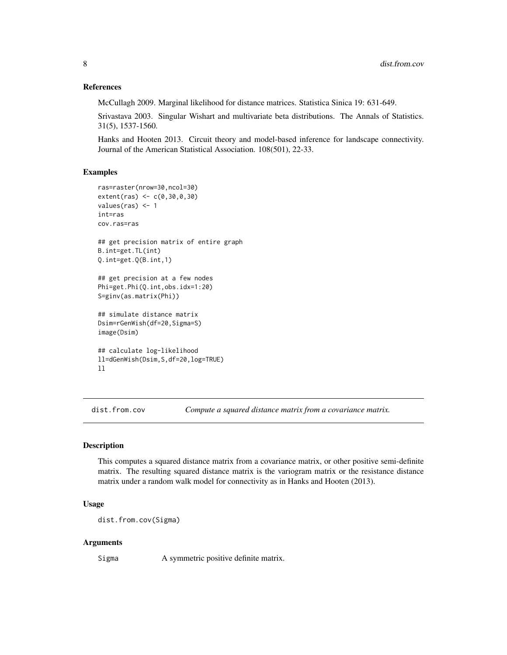# <span id="page-7-0"></span>References

McCullagh 2009. Marginal likelihood for distance matrices. Statistica Sinica 19: 631-649.

Srivastava 2003. Singular Wishart and multivariate beta distributions. The Annals of Statistics. 31(5), 1537-1560.

Hanks and Hooten 2013. Circuit theory and model-based inference for landscape connectivity. Journal of the American Statistical Association. 108(501), 22-33.

#### Examples

```
ras=raster(nrow=30,ncol=30)
extent(ras) <- c(0,30,0,30)
values(ras) <- 1
int=ras
cov.ras=ras
## get precision matrix of entire graph
B.int=get.TL(int)
Q.int=get.Q(B.int,1)
## get precision at a few nodes
Phi=get.Phi(Q.int,obs.idx=1:20)
S=ginv(as.matrix(Phi))
## simulate distance matrix
Dsim=rGenWish(df=20,Sigma=S)
image(Dsim)
## calculate log-likelihood
ll=dGenWish(Dsim,S,df=20,log=TRUE)
ll
```
dist.from.cov *Compute a squared distance matrix from a covariance matrix.*

# Description

This computes a squared distance matrix from a covariance matrix, or other positive semi-definite matrix. The resulting squared distance matrix is the variogram matrix or the resistance distance matrix under a random walk model for connectivity as in Hanks and Hooten (2013).

# Usage

dist.from.cov(Sigma)

#### Arguments

Sigma A symmetric positive definite matrix.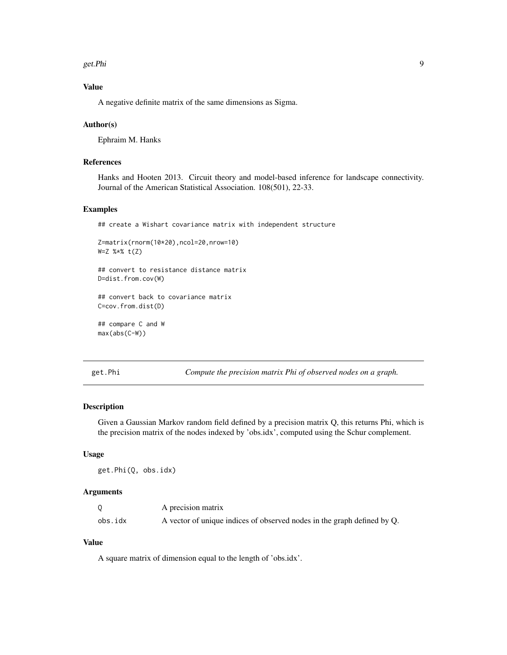<span id="page-8-0"></span>get.Phi 9

# Value

A negative definite matrix of the same dimensions as Sigma.

# Author(s)

Ephraim M. Hanks

# References

Hanks and Hooten 2013. Circuit theory and model-based inference for landscape connectivity. Journal of the American Statistical Association. 108(501), 22-33.

# Examples

## create a Wishart covariance matrix with independent structure

```
Z=matrix(rnorm(10*20),ncol=20,nrow=10)
W=Z %*% t(Z)
```
## convert to resistance distance matrix D=dist.from.cov(W)

## convert back to covariance matrix C=cov.from.dist(D)

## compare C and W max(abs(C-W))

get.Phi *Compute the precision matrix Phi of observed nodes on a graph.*

# Description

Given a Gaussian Markov random field defined by a precision matrix Q, this returns Phi, which is the precision matrix of the nodes indexed by 'obs.idx', computed using the Schur complement.

# Usage

get.Phi(Q, obs.idx)

# Arguments

|         | A precision matrix                                                      |
|---------|-------------------------------------------------------------------------|
| obs.idx | A vector of unique indices of observed nodes in the graph defined by Q. |

# Value

A square matrix of dimension equal to the length of 'obs.idx'.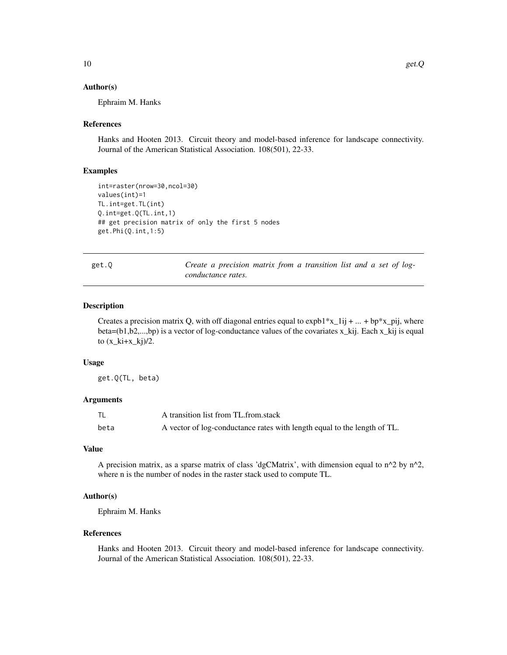## <span id="page-9-0"></span>Author(s)

Ephraim M. Hanks

## References

Hanks and Hooten 2013. Circuit theory and model-based inference for landscape connectivity. Journal of the American Statistical Association. 108(501), 22-33.

# Examples

```
int=raster(nrow=30,ncol=30)
values(int)=1
TL.int=get.TL(int)
Q.int=get.Q(TL.int,1)
## get precision matrix of only the first 5 nodes
get.Phi(Q.int,1:5)
```

|--|

getter a precision matrix from a transition list and a set of log*conductance rates.*

# Description

Creates a precision matrix Q, with off diagonal entries equal to  $expb1*x_1ij + ... + bp*x_pij$ , where beta=(b1,b2,...,bp) is a vector of log-conductance values of the covariates x\_kij. Each x\_kij is equal to  $(x_k + x_k)$ /2.

# Usage

get.Q(TL, beta)

# Arguments

|      | A transition list from TL from stack                                     |
|------|--------------------------------------------------------------------------|
| beta | A vector of log-conductance rates with length equal to the length of TL. |

# Value

A precision matrix, as a sparse matrix of class 'dgCMatrix', with dimension equal to  $n^2$  by  $n^2$ , where n is the number of nodes in the raster stack used to compute TL.

# Author(s)

Ephraim M. Hanks

# References

Hanks and Hooten 2013. Circuit theory and model-based inference for landscape connectivity. Journal of the American Statistical Association. 108(501), 22-33.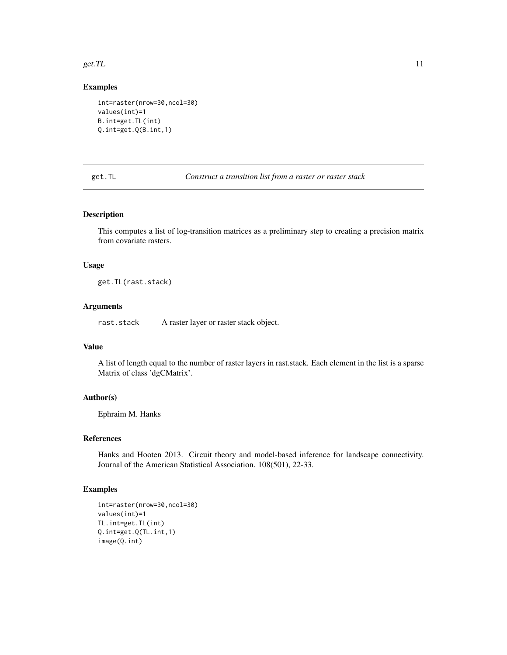#### <span id="page-10-0"></span>get. TL  $\qquad \qquad$  11

# Examples

```
int=raster(nrow=30,ncol=30)
values(int)=1
B.int=get.TL(int)
Q.int=get.Q(B.int,1)
```
get.TL *Construct a transition list from a raster or raster stack*

# Description

This computes a list of log-transition matrices as a preliminary step to creating a precision matrix from covariate rasters.

# Usage

get.TL(rast.stack)

# Arguments

rast.stack A raster layer or raster stack object.

# Value

A list of length equal to the number of raster layers in rast.stack. Each element in the list is a sparse Matrix of class 'dgCMatrix'.

# Author(s)

Ephraim M. Hanks

#### References

Hanks and Hooten 2013. Circuit theory and model-based inference for landscape connectivity. Journal of the American Statistical Association. 108(501), 22-33.

# Examples

```
int=raster(nrow=30,ncol=30)
values(int)=1
TL.int=get.TL(int)
Q.int=get.Q(TL.int,1)
image(Q.int)
```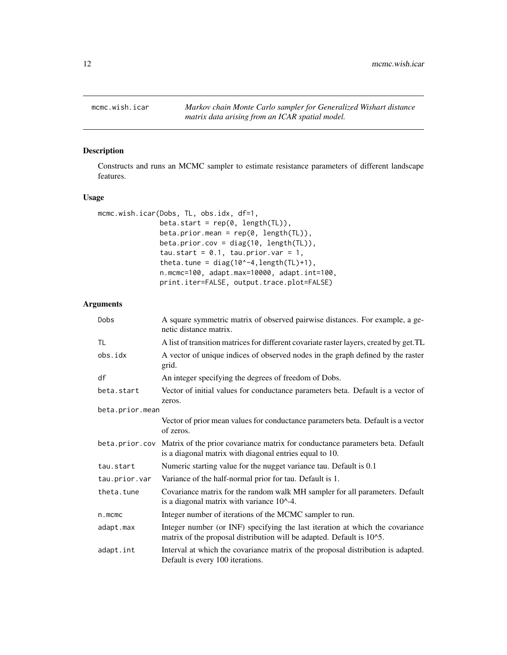<span id="page-11-0"></span>

Constructs and runs an MCMC sampler to estimate resistance parameters of different landscape features.

# Usage

```
mcmc.wish.icar(Dobs, TL, obs.idx, df=1,
               beta.start = rep(0, length(TL)),
               beta.prior.mean = rep(0, length(TL)),beta.prior.cov = diag(10, length(TL)),
               tau.start = 0.1, tau.prior.var = 1,
               theta.tune = diag(10^{\wedge}-4,length(TL)+1),n.mcmc=100, adapt.max=10000, adapt.int=100,
               print.iter=FALSE, output.trace.plot=FALSE)
```
# Arguments

| Dobs            | A square symmetric matrix of observed pairwise distances. For example, a ge-<br>netic distance matrix.                                                   |
|-----------------|----------------------------------------------------------------------------------------------------------------------------------------------------------|
| TL              | A list of transition matrices for different covariate raster layers, created by get.TL                                                                   |
| obs.idx         | A vector of unique indices of observed nodes in the graph defined by the raster<br>grid.                                                                 |
| df              | An integer specifying the degrees of freedom of Dobs.                                                                                                    |
| beta.start      | Vector of initial values for conductance parameters beta. Default is a vector of<br>zeros.                                                               |
| beta.prior.mean |                                                                                                                                                          |
|                 | Vector of prior mean values for conductance parameters beta. Default is a vector<br>of zeros.                                                            |
|                 | beta.prior.cov Matrix of the prior covariance matrix for conductance parameters beta. Default<br>is a diagonal matrix with diagonal entries equal to 10. |
| tau.start       | Numeric starting value for the nugget variance tau. Default is 0.1                                                                                       |
| tau.prior.var   | Variance of the half-normal prior for tau. Default is 1.                                                                                                 |
| theta.tune      | Covariance matrix for the random walk MH sampler for all parameters. Default<br>is a diagonal matrix with variance 10^-4.                                |
| $n$ . mcmc      | Integer number of iterations of the MCMC sampler to run.                                                                                                 |
| adapt.max       | Integer number (or INF) specifying the last iteration at which the covariance<br>matrix of the proposal distribution will be adapted. Default is 10^5.   |
| adapt.int       | Interval at which the covariance matrix of the proposal distribution is adapted.<br>Default is every 100 iterations.                                     |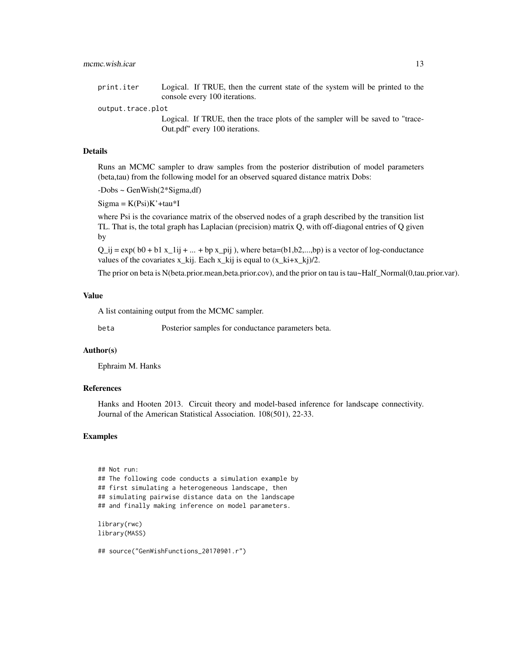print.iter Logical. If TRUE, then the current state of the system will be printed to the console every 100 iterations.

output.trace.plot

Logical. If TRUE, then the trace plots of the sampler will be saved to "trace-Out.pdf" every 100 iterations.

# Details

Runs an MCMC sampler to draw samples from the posterior distribution of model parameters (beta,tau) from the following model for an observed squared distance matrix Dobs:

-Dobs ~ GenWish(2\*Sigma,df)

 $Sigma = K(Psi)K' + tau*I$ 

where Psi is the covariance matrix of the observed nodes of a graph described by the transition list TL. That is, the total graph has Laplacian (precision) matrix Q, with off-diagonal entries of Q given by

 $Q_{ij} = \exp((b0 + b1 x_{1} + ... + bp x_{pi})$ , where beta=(b1,b2,...,bp) is a vector of log-conductance values of the covariates x\_kij. Each x\_kij is equal to  $(x_k + x_k)/2$ .

The prior on beta is N(beta.prior.mean,beta.prior.cov), and the prior on tau is tau~Half\_Normal(0,tau.prior.var).

# Value

A list containing output from the MCMC sampler.

beta Posterior samples for conductance parameters beta.

# Author(s)

Ephraim M. Hanks

# References

Hanks and Hooten 2013. Circuit theory and model-based inference for landscape connectivity. Journal of the American Statistical Association. 108(501), 22-33.

### Examples

```
## Not run:
## The following code conducts a simulation example by
## first simulating a heterogeneous landscape, then
## simulating pairwise distance data on the landscape
## and finally making inference on model parameters.
library(rwc)
library(MASS)
## source("GenWishFunctions_20170901.r")
```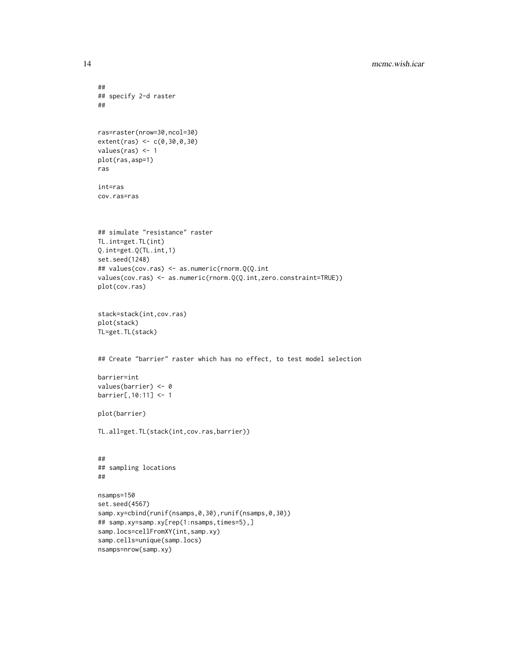```
##
## specify 2-d raster
##
ras=raster(nrow=30,ncol=30)
extent(ras) <- c(0,30,0,30)
values(ras) <- 1
plot(ras,asp=1)
ras
int=ras
cov.ras=ras
## simulate "resistance" raster
TL.int=get.TL(int)
Q.int=get.Q(TL.int,1)
set.seed(1248)
## values(cov.ras) <- as.numeric(rnorm.Q(Q.int
values(cov.ras) <- as.numeric(rnorm.Q(Q.int,zero.constraint=TRUE))
plot(cov.ras)
stack=stack(int,cov.ras)
plot(stack)
TL=get.TL(stack)
## Create "barrier" raster which has no effect, to test model selection
barrier=int
values(barrier) <- 0
barrier[,10:11] <- 1
plot(barrier)
TL.all=get.TL(stack(int,cov.ras,barrier))
##
## sampling locations
##
nsamps=150
set.seed(4567)
samp.xy=cbind(runif(nsamps,0,30),runif(nsamps,0,30))
## samp.xy=samp.xy[rep(1:nsamps,times=5),]
samp.locs=cellFromXY(int,samp.xy)
samp.cells=unique(samp.locs)
```

```
nsamps=nrow(samp.xy)
```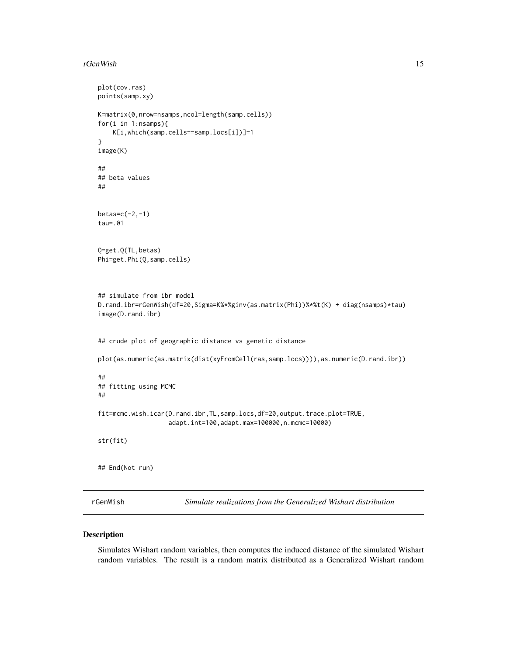#### <span id="page-14-0"></span>rGenWish 15

```
plot(cov.ras)
points(samp.xy)
K=matrix(0,nrow=nsamps,ncol=length(samp.cells))
for(i in 1:nsamps){
   K[i,which(samp.cells==samp.locs[i])]=1
}
image(K)
##
## beta values
##
betas=c(-2,-1)
tau=.01
Q=get.Q(TL,betas)
Phi=get.Phi(Q,samp.cells)
## simulate from ibr model
D.rand.ibr=rGenWish(df=20,Sigma=K%*%ginv(as.matrix(Phi))%*%t(K) + diag(nsamps)*tau)
image(D.rand.ibr)
## crude plot of geographic distance vs genetic distance
plot(as.numeric(as.matrix(dist(xyFromCell(ras,samp.locs)))),as.numeric(D.rand.ibr))
##
## fitting using MCMC
##
fit=mcmc.wish.icar(D.rand.ibr,TL,samp.locs,df=20,output.trace.plot=TRUE,
                   adapt.int=100,adapt.max=100000,n.mcmc=10000)
str(fit)
## End(Not run)
```
rGenWish *Simulate realizations from the Generalized Wishart distribution*

# Description

Simulates Wishart random variables, then computes the induced distance of the simulated Wishart random variables. The result is a random matrix distributed as a Generalized Wishart random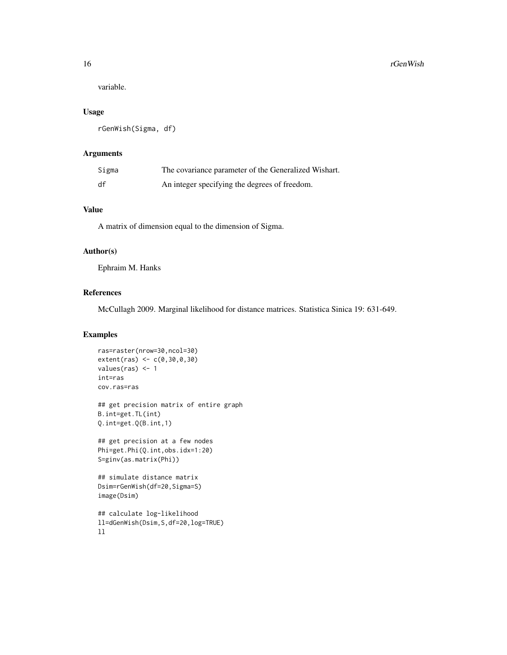variable.

# Usage

rGenWish(Sigma, df)

# Arguments

| Sigma | The covariance parameter of the Generalized Wishart. |
|-------|------------------------------------------------------|
| df    | An integer specifying the degrees of freedom.        |

# Value

A matrix of dimension equal to the dimension of Sigma.

# Author(s)

Ephraim M. Hanks

# References

McCullagh 2009. Marginal likelihood for distance matrices. Statistica Sinica 19: 631-649.

# Examples

```
ras=raster(nrow=30,ncol=30)
extent(ras) <- c(0,30,0,30)
values(ras) <- 1
int=ras
cov.ras=ras
```
## get precision matrix of entire graph B.int=get.TL(int) Q.int=get.Q(B.int,1)

```
## get precision at a few nodes
Phi=get.Phi(Q.int,obs.idx=1:20)
S=ginv(as.matrix(Phi))
```

```
## simulate distance matrix
Dsim=rGenWish(df=20,Sigma=S)
image(Dsim)
```

```
## calculate log-likelihood
ll=dGenWish(Dsim,S,df=20,log=TRUE)
ll
```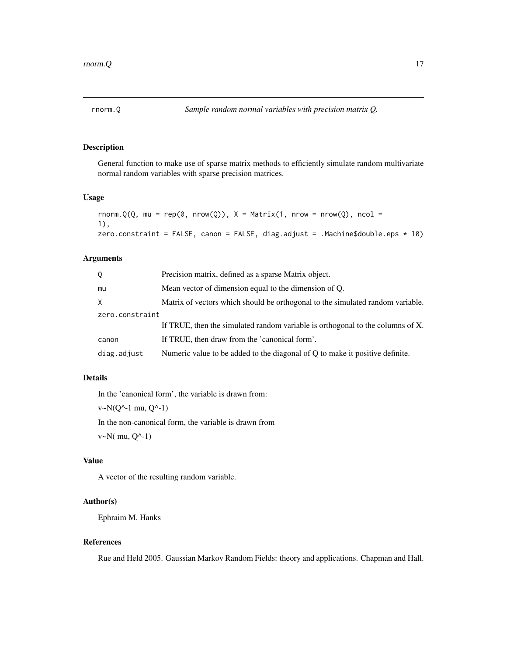<span id="page-16-0"></span>General function to make use of sparse matrix methods to efficiently simulate random multivariate normal random variables with sparse precision matrices.

# Usage

```
rnorm.Q(Q, mu = rep(0, nrow(Q)), X = Matrix(1, nrow = new(Q), ncol = ...1),
zero.constraint = FALSE, canon = FALSE, diag.adjust = .Machine$double.eps * 10)
```
# Arguments

| Q.              | Precision matrix, defined as a sparse Matrix object.                           |
|-----------------|--------------------------------------------------------------------------------|
| mu              | Mean vector of dimension equal to the dimension of Q.                          |
| X.              | Matrix of vectors which should be orthogonal to the simulated random variable. |
| zero.constraint |                                                                                |
|                 | If TRUE, then the simulated random variable is orthogonal to the columns of X. |
| canon           | If TRUE, then draw from the 'canonical form'.                                  |
| diag.adjust     | Numeric value to be added to the diagonal of Q to make it positive definite.   |

# Details

In the 'canonical form', the variable is drawn from:

 $v \sim N(Q^{\wedge}-1 \text{ mu}, Q^{\wedge}-1)$ 

In the non-canonical form, the variable is drawn from

v~N( mu, Q^-1)

# Value

A vector of the resulting random variable.

# Author(s)

Ephraim M. Hanks

# References

Rue and Held 2005. Gaussian Markov Random Fields: theory and applications. Chapman and Hall.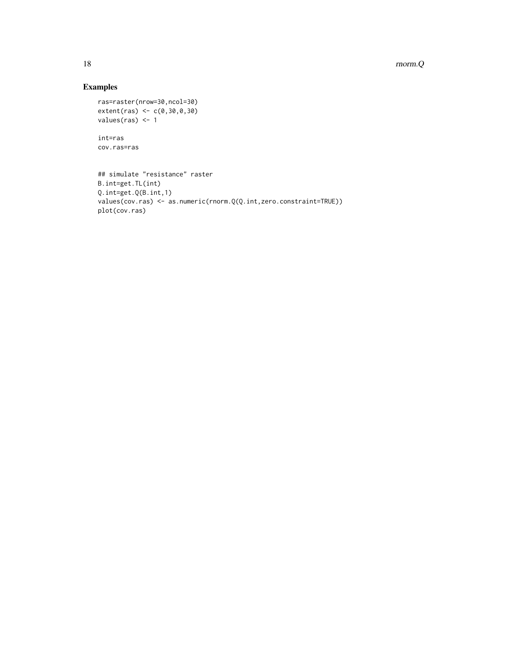18 rnorm.Q

# Examples

```
ras=raster(nrow=30,ncol=30)
extent(ras) <- c(0,30,0,30)
values(ras) <- 1
```
int=ras cov.ras=ras

```
## simulate "resistance" raster
B.int=get.TL(int)
Q.int=get.Q(B.int,1)
values(cov.ras) <- as.numeric(rnorm.Q(Q.int,zero.constraint=TRUE))
plot(cov.ras)
```